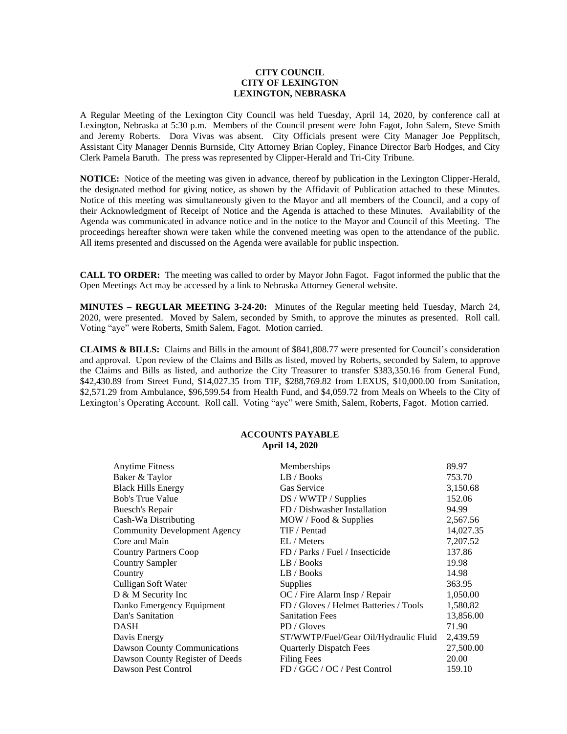## **CITY COUNCIL CITY OF LEXINGTON LEXINGTON, NEBRASKA**

A Regular Meeting of the Lexington City Council was held Tuesday, April 14, 2020, by conference call at Lexington, Nebraska at 5:30 p.m. Members of the Council present were John Fagot, John Salem, Steve Smith and Jeremy Roberts. Dora Vivas was absent. City Officials present were City Manager Joe Pepplitsch, Assistant City Manager Dennis Burnside, City Attorney Brian Copley, Finance Director Barb Hodges, and City Clerk Pamela Baruth. The press was represented by Clipper-Herald and Tri-City Tribune.

**NOTICE:** Notice of the meeting was given in advance, thereof by publication in the Lexington Clipper-Herald, the designated method for giving notice, as shown by the Affidavit of Publication attached to these Minutes. Notice of this meeting was simultaneously given to the Mayor and all members of the Council, and a copy of their Acknowledgment of Receipt of Notice and the Agenda is attached to these Minutes. Availability of the Agenda was communicated in advance notice and in the notice to the Mayor and Council of this Meeting. The proceedings hereafter shown were taken while the convened meeting was open to the attendance of the public. All items presented and discussed on the Agenda were available for public inspection.

**CALL TO ORDER:** The meeting was called to order by Mayor John Fagot. Fagot informed the public that the Open Meetings Act may be accessed by a link to Nebraska Attorney General website.

**MINUTES – REGULAR MEETING 3-24-20:** Minutes of the Regular meeting held Tuesday, March 24, 2020, were presented. Moved by Salem, seconded by Smith, to approve the minutes as presented. Roll call. Voting "aye" were Roberts, Smith Salem, Fagot. Motion carried.

**CLAIMS & BILLS:** Claims and Bills in the amount of \$841,808.77 were presented for Council's consideration and approval. Upon review of the Claims and Bills as listed, moved by Roberts, seconded by Salem, to approve the Claims and Bills as listed, and authorize the City Treasurer to transfer \$383,350.16 from General Fund, \$42,430.89 from Street Fund, \$14,027.35 from TIF, \$288,769.82 from LEXUS, \$10,000.00 from Sanitation, \$2,571.29 from Ambulance, \$96,599.54 from Health Fund, and \$4,059.72 from Meals on Wheels to the City of Lexington's Operating Account. Roll call. Voting "aye" were Smith, Salem, Roberts, Fagot. Motion carried.

## **ACCOUNTS PAYABLE April 14, 2020**

| <b>Anytime Fitness</b>              | Memberships                            | 89.97     |
|-------------------------------------|----------------------------------------|-----------|
| Baker & Taylor                      | LB / Books                             | 753.70    |
| <b>Black Hills Energy</b>           | Gas Service                            | 3,150.68  |
| <b>Bob's True Value</b>             | DS / WWTP / Supplies                   | 152.06    |
| Buesch's Repair                     | FD / Dishwasher Installation           | 94.99     |
| Cash-Wa Distributing                | MOW / Food & Supplies                  | 2,567.56  |
| <b>Community Development Agency</b> | TIF / Pentad                           | 14,027.35 |
| Core and Main                       | EL / Meters                            | 7,207.52  |
| <b>Country Partners Coop</b>        | FD / Parks / Fuel / Insecticide        | 137.86    |
| <b>Country Sampler</b>              | LB / Books                             | 19.98     |
| Country                             | LB / Books                             | 14.98     |
| Culligan Soft Water                 | <b>Supplies</b>                        | 363.95    |
| D & M Security Inc                  | OC / Fire Alarm Insp / Repair          | 1,050.00  |
| Danko Emergency Equipment           | FD / Gloves / Helmet Batteries / Tools | 1,580.82  |
| Dan's Sanitation                    | <b>Sanitation Fees</b>                 | 13,856.00 |
| <b>DASH</b>                         | PD / Gloves                            | 71.90     |
| Davis Energy                        | ST/WWTP/Fuel/Gear Oil/Hydraulic Fluid  | 2,439.59  |
| <b>Dawson County Communications</b> | <b>Quarterly Dispatch Fees</b>         | 27,500.00 |
| Dawson County Register of Deeds     | <b>Filing Fees</b>                     | 20.00     |
| Dawson Pest Control                 | FD / GGC / OC / Pest Control           | 159.10    |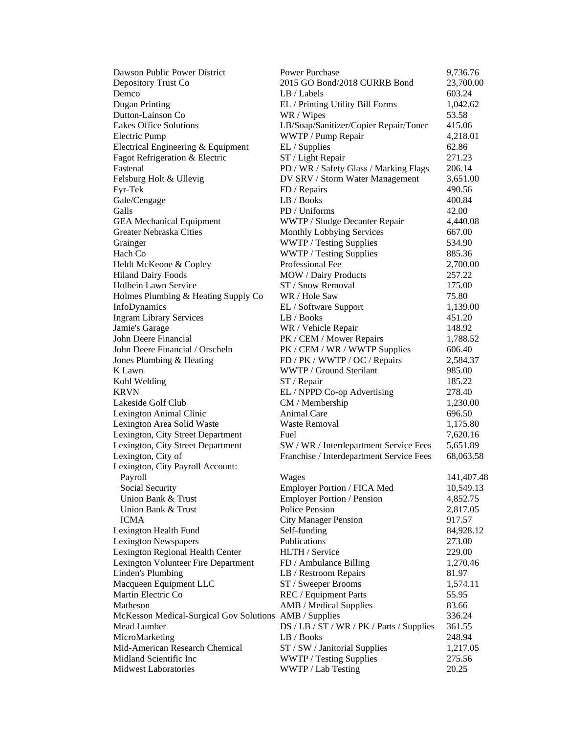| Dawson Public Power District                           | <b>Power Purchase</b>                     | 9,736.76        |
|--------------------------------------------------------|-------------------------------------------|-----------------|
| Depository Trust Co                                    | 2015 GO Bond/2018 CURRB Bond              | 23,700.00       |
| Demco                                                  | LB / Labels                               | 603.24          |
| Dugan Printing                                         | EL / Printing Utility Bill Forms          | 1,042.62        |
| Dutton-Lainson Co                                      | WR / Wipes                                | 53.58           |
| <b>Eakes Office Solutions</b>                          | LB/Soap/Sanitizer/Copier Repair/Toner     | 415.06          |
| <b>Electric Pump</b>                                   | WWTP / Pump Repair                        | 4,218.01        |
| Electrical Engineering & Equipment                     | EL / Supplies                             | 62.86           |
| Fagot Refrigeration & Electric                         | ST / Light Repair                         | 271.23          |
| Fastenal                                               | PD / WR / Safety Glass / Marking Flags    | 206.14          |
| Felsburg Holt & Ullevig                                | DV SRV / Storm Water Management           | 3,651.00        |
| Fyr-Tek                                                | FD / Repairs                              | 490.56          |
| Gale/Cengage                                           | LB / Books                                | 400.84          |
| Galls                                                  | PD / Uniforms                             | 42.00           |
| <b>GEA</b> Mechanical Equipment                        | WWTP / Sludge Decanter Repair             | 4,440.08        |
| Greater Nebraska Cities                                | Monthly Lobbying Services                 | 667.00          |
| Grainger                                               | WWTP / Testing Supplies                   | 534.90          |
| Hach Co                                                | WWTP / Testing Supplies                   | 885.36          |
| Heldt McKeone & Copley                                 | Professional Fee                          | 2,700.00        |
| <b>Hiland Dairy Foods</b>                              | MOW / Dairy Products                      | 257.22          |
| Holbein Lawn Service                                   | ST / Snow Removal                         | 175.00          |
|                                                        |                                           |                 |
| Holmes Plumbing & Heating Supply Co                    | WR / Hole Saw                             | 75.80           |
| InfoDynamics                                           | EL / Software Support                     | 1,139.00        |
| <b>Ingram Library Services</b>                         | LB / Books                                | 451.20          |
| Jamie's Garage                                         | WR / Vehicle Repair                       | 148.92          |
| John Deere Financial                                   | PK / CEM / Mower Repairs                  | 1,788.52        |
| John Deere Financial / Orscheln                        | PK / CEM / WR / WWTP Supplies             | 606.40          |
| Jones Plumbing & Heating                               | FD / PK / WWTP / OC / Repairs             | 2,584.37        |
| K Lawn                                                 | WWTP / Ground Sterilant                   | 985.00          |
| Kohl Welding                                           | ST / Repair                               | 185.22          |
| <b>KRVN</b>                                            | EL / NPPD Co-op Advertising               | 278.40          |
| Lakeside Golf Club                                     | CM / Membership                           | 1,230.00        |
| Lexington Animal Clinic                                | Animal Care                               | 696.50          |
| Lexington Area Solid Waste                             | Waste Removal                             | 1,175.80        |
| Lexington, City Street Department                      | Fuel                                      | 7,620.16        |
| Lexington, City Street Department                      | SW / WR / Interdepartment Service Fees    | 5,651.89        |
| Lexington, City of                                     | Franchise / Interdepartment Service Fees  | 68,063.58       |
| Lexington, City Payroll Account:                       |                                           |                 |
| Payroll                                                | Wages                                     | 141,407.48      |
| Social Security                                        | Employer Portion / FICA Med               | 10,549.13       |
| Union Bank & Trust                                     | <b>Employer Portion / Pension</b>         | 4,852.75        |
| Union Bank & Trust                                     | Police Pension                            | 2,817.05        |
| <b>ICMA</b>                                            | <b>City Manager Pension</b>               | 917.57          |
| Lexington Health Fund                                  | Self-funding                              | 84,928.12       |
| <b>Lexington Newspapers</b>                            | Publications                              | 273.00          |
| Lexington Regional Health Center                       | HLTH / Service                            | 229.00          |
| Lexington Volunteer Fire Department                    | FD / Ambulance Billing                    | 1,270.46        |
| Linden's Plumbing                                      | LB / Restroom Repairs                     | 81.97           |
| Macqueen Equipment LLC                                 | ST / Sweeper Brooms                       | 1,574.11        |
| Martin Electric Co                                     | REC / Equipment Parts                     | 55.95           |
| Matheson                                               | AMB / Medical Supplies                    | 83.66           |
| McKesson Medical-Surgical Gov Solutions AMB / Supplies |                                           | 336.24          |
| Mead Lumber                                            | DS / LB / ST / WR / PK / Parts / Supplies | 361.55          |
| MicroMarketing                                         | LB / Books                                |                 |
| Mid-American Research Chemical                         | ST / SW / Janitorial Supplies             | 248.94          |
| Midland Scientific Inc                                 |                                           | 1,217.05        |
| <b>Midwest Laboratories</b>                            | WWTP / Testing Supplies                   | 275.56<br>20.25 |
|                                                        | WWTP / Lab Testing                        |                 |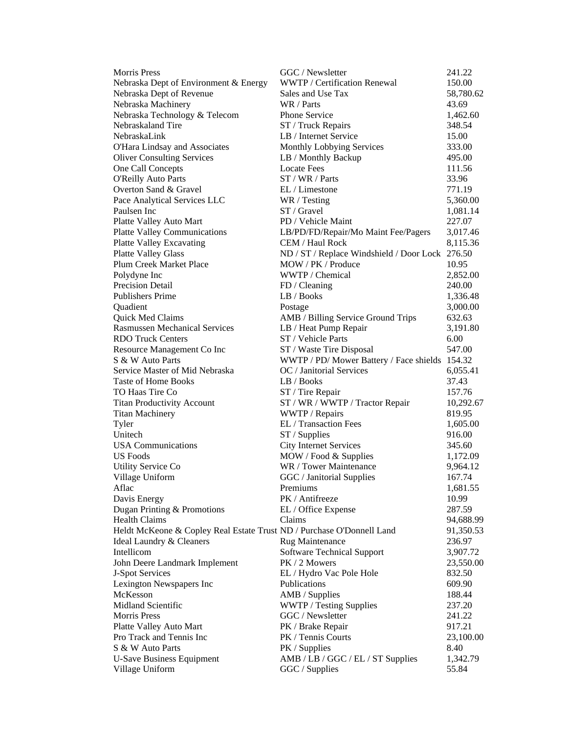| <b>Morris Press</b>                                                   | GGC / Newsletter                                   | 241.22                |
|-----------------------------------------------------------------------|----------------------------------------------------|-----------------------|
| Nebraska Dept of Environment & Energy                                 | WWTP / Certification Renewal                       | 150.00                |
| Nebraska Dept of Revenue                                              | Sales and Use Tax                                  | 58,780.62             |
| Nebraska Machinery                                                    | WR / Parts                                         | 43.69                 |
| Nebraska Technology & Telecom                                         | Phone Service                                      | 1,462.60              |
| Nebraskaland Tire                                                     | ST / Truck Repairs                                 | 348.54                |
| NebraskaLink                                                          | LB / Internet Service                              | 15.00                 |
| O'Hara Lindsay and Associates                                         | Monthly Lobbying Services                          | 333.00                |
| <b>Oliver Consulting Services</b>                                     | LB / Monthly Backup                                | 495.00                |
| One Call Concepts                                                     | <b>Locate Fees</b>                                 | 111.56                |
| <b>O'Reilly Auto Parts</b>                                            | ST / WR / Parts                                    | 33.96                 |
| Overton Sand & Gravel                                                 | EL / Limestone                                     | 771.19                |
| Pace Analytical Services LLC                                          | WR / Testing                                       | 5,360.00              |
| Paulsen Inc                                                           | ST / Gravel                                        | 1,081.14              |
| Platte Valley Auto Mart                                               | PD / Vehicle Maint                                 | 227.07                |
| <b>Platte Valley Communications</b>                                   | LB/PD/FD/Repair/Mo Maint Fee/Pagers                | 3,017.46              |
| <b>Platte Valley Excavating</b>                                       | CEM / Haul Rock                                    | 8,115.36              |
| <b>Platte Valley Glass</b>                                            | ND / ST / Replace Windshield / Door Lock 276.50    |                       |
| Plum Creek Market Place                                               | MOW / PK / Produce                                 | 10.95                 |
| Polydyne Inc                                                          | WWTP / Chemical                                    | 2,852.00              |
| Precision Detail                                                      | FD / Cleaning                                      | 240.00                |
| <b>Publishers Prime</b>                                               | LB / Books                                         | 1,336.48              |
| Quadient                                                              | Postage                                            | 3,000.00              |
| Quick Med Claims                                                      | AMB / Billing Service Ground Trips                 | 632.63                |
| <b>Rasmussen Mechanical Services</b>                                  | LB / Heat Pump Repair                              | 3,191.80              |
| <b>RDO Truck Centers</b>                                              | ST / Vehicle Parts                                 | 6.00                  |
| Resource Management Co Inc                                            | ST / Waste Tire Disposal                           | 547.00                |
| S & W Auto Parts                                                      | WWTP / PD/ Mower Battery / Face shields 154.32     |                       |
| Service Master of Mid Nebraska                                        | OC / Janitorial Services                           | 6,055.41              |
| <b>Taste of Home Books</b>                                            | LB / Books                                         | 37.43                 |
| TO Haas Tire Co                                                       | ST / Tire Repair                                   | 157.76                |
| <b>Titan Productivity Account</b>                                     | ST / WR / WWTP / Tractor Repair                    | 10,292.67             |
| <b>Titan Machinery</b>                                                | WWTP / Repairs                                     | 819.95                |
| Tyler                                                                 | EL / Transaction Fees                              | 1,605.00              |
| Unitech                                                               | ST / Supplies                                      | 916.00                |
| <b>USA</b> Communications                                             | <b>City Internet Services</b>                      | 345.60                |
| <b>US</b> Foods                                                       | MOW / Food & Supplies                              | 1,172.09              |
| Utility Service Co                                                    | WR / Tower Maintenance                             | 9,964.12              |
| Village Uniform                                                       | GGC / Janitorial Supplies                          | 167.74                |
| Aflac                                                                 | Premiums                                           | 1,681.55              |
| Davis Energy                                                          | PK / Antifreeze                                    | 10.99                 |
| Dugan Printing & Promotions                                           | EL / Office Expense                                | 287.59                |
| <b>Health Claims</b>                                                  | Claims                                             | 94,688.99             |
| Heldt McKeone & Copley Real Estate Trust ND / Purchase O'Donnell Land |                                                    | 91,350.53             |
| Ideal Laundry & Cleaners<br>Intellicom                                | Rug Maintenance                                    | 236.97                |
| John Deere Landmark Implement                                         | <b>Software Technical Support</b><br>PK / 2 Mowers | 3,907.72<br>23,550.00 |
| J-Spot Services                                                       | EL / Hydro Vac Pole Hole                           | 832.50                |
| Lexington Newspapers Inc                                              | Publications                                       | 609.90                |
| McKesson                                                              | AMB / Supplies                                     | 188.44                |
| Midland Scientific                                                    | WWTP / Testing Supplies                            | 237.20                |
| <b>Morris Press</b>                                                   | GGC / Newsletter                                   | 241.22                |
| Platte Valley Auto Mart                                               | PK / Brake Repair                                  | 917.21                |
| Pro Track and Tennis Inc                                              | PK / Tennis Courts                                 | 23,100.00             |
| S & W Auto Parts                                                      | PK / Supplies                                      | 8.40                  |
| <b>U-Save Business Equipment</b>                                      | AMB / LB / GGC / EL / ST Supplies                  | 1,342.79              |
| Village Uniform                                                       | GGC / Supplies                                     | 55.84                 |